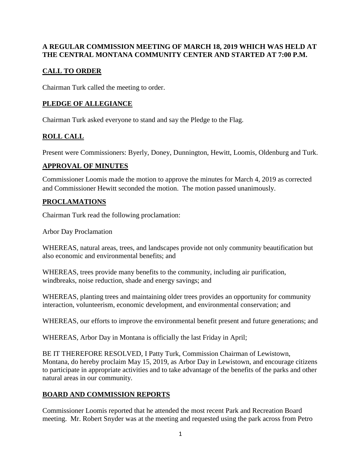#### **A REGULAR COMMISSION MEETING OF MARCH 18, 2019 WHICH WAS HELD AT THE CENTRAL MONTANA COMMUNITY CENTER AND STARTED AT 7:00 P.M.**

## **CALL TO ORDER**

Chairman Turk called the meeting to order.

## **PLEDGE OF ALLEGIANCE**

Chairman Turk asked everyone to stand and say the Pledge to the Flag.

## **ROLL CALL**

Present were Commissioners: Byerly, Doney, Dunnington, Hewitt, Loomis, Oldenburg and Turk.

### **APPROVAL OF MINUTES**

Commissioner Loomis made the motion to approve the minutes for March 4, 2019 as corrected and Commissioner Hewitt seconded the motion. The motion passed unanimously.

### **PROCLAMATIONS**

Chairman Turk read the following proclamation:

Arbor Day Proclamation

WHEREAS, natural areas, trees, and landscapes provide not only community beautification but also economic and environmental benefits; and

WHEREAS, trees provide many benefits to the community, including air purification, windbreaks, noise reduction, shade and energy savings; and

WHEREAS, planting trees and maintaining older trees provides an opportunity for community interaction, volunteerism, economic development, and environmental conservation; and

WHEREAS, our efforts to improve the environmental benefit present and future generations; and

WHEREAS, Arbor Day in Montana is officially the last Friday in April;

BE IT THEREFORE RESOLVED, I Patty Turk, Commission Chairman of Lewistown, Montana, do hereby proclaim May 15, 2019, as Arbor Day in Lewistown, and encourage citizens to participate in appropriate activities and to take advantage of the benefits of the parks and other natural areas in our community.

## **BOARD AND COMMISSION REPORTS**

Commissioner Loomis reported that he attended the most recent Park and Recreation Board meeting. Mr. Robert Snyder was at the meeting and requested using the park across from Petro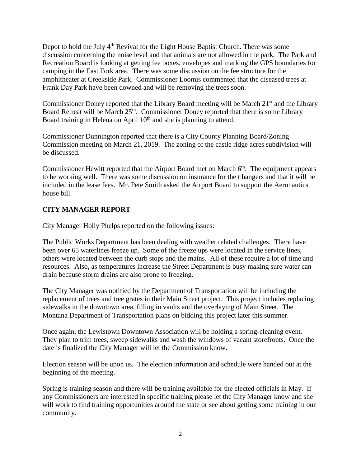Depot to hold the July  $4<sup>th</sup>$  Revival for the Light House Baptist Church. There was some discussion concerning the noise level and that animals are not allowed in the park. The Park and Recreation Board is looking at getting fee boxes, envelopes and marking the GPS boundaries for camping in the East Fork area. There was some discussion on the fee structure for the amphitheater at Creekside Park. Commissioner Loomis commented that the diseased trees at Frank Day Park have been downed and will be removing the trees soon.

Commissioner Doney reported that the Library Board meeting will be March 21<sup>st</sup> and the Library Board Retreat will be March  $25<sup>th</sup>$ . Commissioner Doney reported that there is some Library Board training in Helena on April 10<sup>th</sup> and she is planning to attend.

Commissioner Dunnington reported that there is a City County Planning Board/Zoning Commission meeting on March 21, 2019. The zoning of the castle ridge acres subdivision will be discussed.

Commissioner Hewitt reported that the Airport Board met on March  $6<sup>th</sup>$ . The equipment appears to be working well. There was some discussion on insurance for the t hangers and that it will be included in the lease fees. Mr. Pete Smith asked the Airport Board to support the Aeronautics house bill.

#### **CITY MANAGER REPORT**

City Manager Holly Phelps reported on the following issues:

The Public Works Department has been dealing with weather related challenges. There have been over 65 waterlines freeze up. Some of the freeze ups were located in the service lines, others were located between the curb stops and the mains. All of these require a lot of time and resources. Also, as temperatures increase the Street Department is busy making sure water can drain because storm drains are also prone to freezing.

The City Manager was notified by the Department of Transportation will be including the replacement of trees and tree grates in their Main Street project. This project includes replacing sidewalks in the downtown area, filling in vaults and the overlaying of Main Street. The Montana Department of Transportation plans on bidding this project later this summer.

Once again, the Lewistown Downtown Association will be holding a spring-cleaning event. They plan to trim trees, sweep sidewalks and wash the windows of vacant storefronts. Once the date is finalized the City Manager will let the Commission know.

Election season will be upon us. The election information and schedule were handed out at the beginning of the meeting.

Spring is training season and there will be training available for the elected officials in May. If any Commissioners are interested in specific training please let the City Manager know and she will work to find training opportunities around the state or see about getting some training in our community.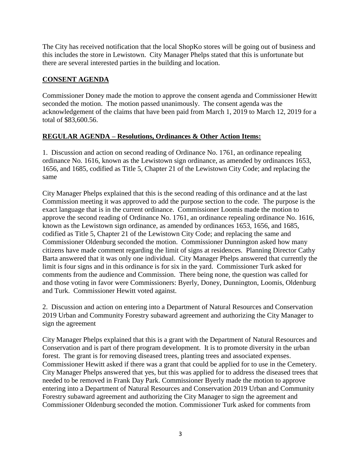The City has received notification that the local ShopKo stores will be going out of business and this includes the store in Lewistown. City Manager Phelps stated that this is unfortunate but there are several interested parties in the building and location.

#### **CONSENT AGENDA**

Commissioner Doney made the motion to approve the consent agenda and Commissioner Hewitt seconded the motion. The motion passed unanimously. The consent agenda was the acknowledgement of the claims that have been paid from March 1, 2019 to March 12, 2019 for a total of \$83,600.56.

#### **REGULAR AGENDA – Resolutions, Ordinances & Other Action Items:**

1. Discussion and action on second reading of Ordinance No. 1761, an ordinance repealing ordinance No. 1616, known as the Lewistown sign ordinance, as amended by ordinances 1653, 1656, and 1685, codified as Title 5, Chapter 21 of the Lewistown City Code; and replacing the same

City Manager Phelps explained that this is the second reading of this ordinance and at the last Commission meeting it was approved to add the purpose section to the code. The purpose is the exact language that is in the current ordinance. Commissioner Loomis made the motion to approve the second reading of Ordinance No. 1761, an ordinance repealing ordinance No. 1616, known as the Lewistown sign ordinance, as amended by ordinances 1653, 1656, and 1685, codified as Title 5, Chapter 21 of the Lewistown City Code; and replacing the same and Commissioner Oldenburg seconded the motion. Commissioner Dunnington asked how many citizens have made comment regarding the limit of signs at residences. Planning Director Cathy Barta answered that it was only one individual. City Manager Phelps answered that currently the limit is four signs and in this ordinance is for six in the yard. Commissioner Turk asked for comments from the audience and Commission. There being none, the question was called for and those voting in favor were Commissioners: Byerly, Doney, Dunnington, Loomis, Oldenburg and Turk. Commissioner Hewitt voted against.

2. Discussion and action on entering into a Department of Natural Resources and Conservation 2019 Urban and Community Forestry subaward agreement and authorizing the City Manager to sign the agreement

City Manager Phelps explained that this is a grant with the Department of Natural Resources and Conservation and is part of there program development. It is to promote diversity in the urban forest. The grant is for removing diseased trees, planting trees and associated expenses. Commissioner Hewitt asked if there was a grant that could be applied for to use in the Cemetery. City Manager Phelps answered that yes, but this was applied for to address the diseased trees that needed to be removed in Frank Day Park. Commissioner Byerly made the motion to approve entering into a Department of Natural Resources and Conservation 2019 Urban and Community Forestry subaward agreement and authorizing the City Manager to sign the agreement and Commissioner Oldenburg seconded the motion. Commissioner Turk asked for comments from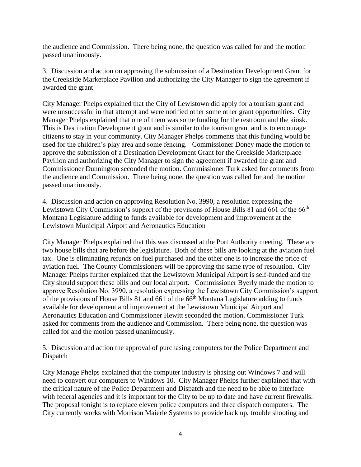the audience and Commission. There being none, the question was called for and the motion passed unanimously.

3. Discussion and action on approving the submission of a Destination Development Grant for the Creekside Marketplace Pavilion and authorizing the City Manager to sign the agreement if awarded the grant

City Manager Phelps explained that the City of Lewistown did apply for a tourism grant and were unsuccessful in that attempt and were notified other some other grant opportunities. City Manager Phelps explained that one of them was some funding for the restroom and the kiosk. This is Destination Development grant and is similar to the tourism grant and is to encourage citizens to stay in your community. City Manager Phelps comments that this funding would be used for the children's play area and some fencing. Commissioner Doney made the motion to approve the submission of a Destination Development Grant for the Creekside Marketplace Pavilion and authorizing the City Manager to sign the agreement if awarded the grant and Commissioner Dunnington seconded the motion. Commissioner Turk asked for comments from the audience and Commission. There being none, the question was called for and the motion passed unanimously.

4. Discussion and action on approving Resolution No. 3990, a resolution expressing the Lewistown City Commission's support of the provisions of House Bills 81 and 661 of the 66<sup>th</sup> Montana Legislature adding to funds available for development and improvement at the Lewistown Municipal Airport and Aeronautics Education

City Manager Phelps explained that this was discussed at the Port Authority meeting. These are two house bills that are before the legislature. Both of these bills are looking at the aviation fuel tax. One is eliminating refunds on fuel purchased and the other one is to increase the price of aviation fuel. The County Commissioners will be approving the same type of resolution. City Manager Phelps further explained that the Lewistown Municipal Airport is self-funded and the City should support these bills and our local airport. Commissioner Byerly made the motion to approve Resolution No. 3990, a resolution expressing the Lewistown City Commission's support of the provisions of House Bills 81 and 661 of the  $66<sup>th</sup>$  Montana Legislature adding to funds available for development and improvement at the Lewistown Municipal Airport and Aeronautics Education and Commissioner Hewitt seconded the motion. Commissioner Turk asked for comments from the audience and Commission. There being none, the question was called for and the motion passed unanimously.

5. Discussion and action the approval of purchasing computers for the Police Department and Dispatch

City Manage Phelps explained that the computer industry is phasing out Windows 7 and will need to convert our computers to Windows 10. City Manager Phelps further explained that with the critical nature of the Police Department and Dispatch and the need to be able to interface with federal agencies and it is important for the City to be up to date and have current firewalls. The proposal tonight is to replace eleven police computers and three dispatch computers. The City currently works with Morrison Maierle Systems to provide back up, trouble shooting and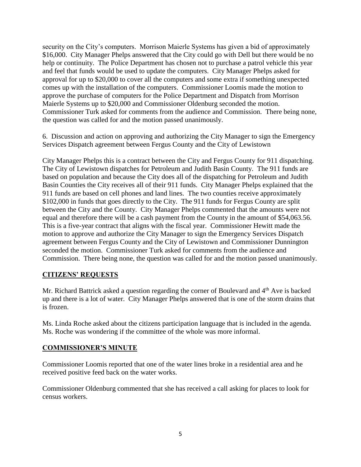security on the City's computers. Morrison Maierle Systems has given a bid of approximately \$16,000. City Manager Phelps answered that the City could go with Dell but there would be no help or continuity. The Police Department has chosen not to purchase a patrol vehicle this year and feel that funds would be used to update the computers. City Manager Phelps asked for approval for up to \$20,000 to cover all the computers and some extra if something unexpected comes up with the installation of the computers. Commissioner Loomis made the motion to approve the purchase of computers for the Police Department and Dispatch from Morrison Maierle Systems up to \$20,000 and Commissioner Oldenburg seconded the motion. Commissioner Turk asked for comments from the audience and Commission. There being none, the question was called for and the motion passed unanimously.

6. Discussion and action on approving and authorizing the City Manager to sign the Emergency Services Dispatch agreement between Fergus County and the City of Lewistown

City Manager Phelps this is a contract between the City and Fergus County for 911 dispatching. The City of Lewistown dispatches for Petroleum and Judith Basin County. The 911 funds are based on population and because the City does all of the dispatching for Petroleum and Judith Basin Counties the City receives all of their 911 funds. City Manager Phelps explained that the 911 funds are based on cell phones and land lines. The two counties receive approximately \$102,000 in funds that goes directly to the City. The 911 funds for Fergus County are split between the City and the County. City Manager Phelps commented that the amounts were not equal and therefore there will be a cash payment from the County in the amount of \$54,063.56. This is a five-year contract that aligns with the fiscal year. Commissioner Hewitt made the motion to approve and authorize the City Manager to sign the Emergency Services Dispatch agreement between Fergus County and the City of Lewistown and Commissioner Dunnington seconded the motion. Commissioner Turk asked for comments from the audience and Commission. There being none, the question was called for and the motion passed unanimously.

#### **CITIZENS' REQUESTS**

Mr. Richard Battrick asked a question regarding the corner of Boulevard and  $4<sup>th</sup>$  Ave is backed up and there is a lot of water. City Manager Phelps answered that is one of the storm drains that is frozen.

Ms. Linda Roche asked about the citizens participation language that is included in the agenda. Ms. Roche was wondering if the committee of the whole was more informal.

#### **COMMISSIONER'S MINUTE**

Commissioner Loomis reported that one of the water lines broke in a residential area and he received positive feed back on the water works.

Commissioner Oldenburg commented that she has received a call asking for places to look for census workers.